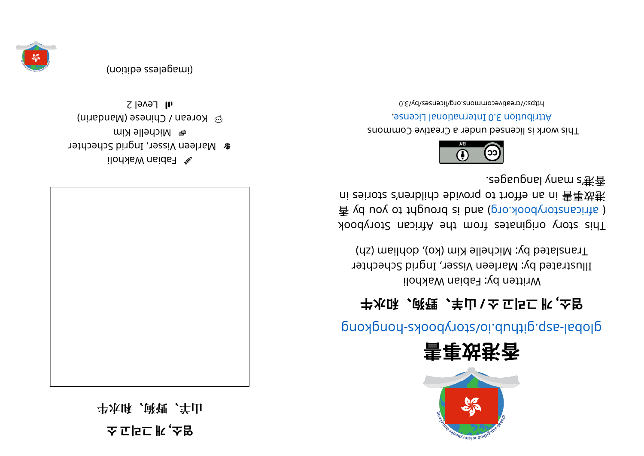**소 고리그 개**, **소염** 书次味 ,战锂 ,羊山



 $\mathbb Z$  Fabian Wakholi **&** Marleen Visser, Ingrid Schechter e Michelle Kim  $\heartsuit$  Korean / Chinese (Mandarin)  $\overline{C}$  level 2

(imageless eqition)







glopsi-asp.glithub.io/storybooks-hongkong

## **⽜⽔和、狗野、⽺⼭/ 소 고리그 개**, **소염**

 $i$ lod $i$ ka Makholi wakholi Illustrated by: Marleen Visser, Ingrid Schechter Translated by: Michelle Kim (ko), dohliam (hod)

koodyn ot story or a set and a finite and storybook  $\frac{2}{3}$  yd uoy ot triguord si bna (pro. koodynotansints) ni zeinotz c'nenblido ebivonq ot troite na ni 害事效巷 . segaugnal yna ms' 港⾹



This work is licensed under a Creative Commons . esnecial lanoit anternational License.

0. Elvdl aercommons.org/licenses/lyco-0.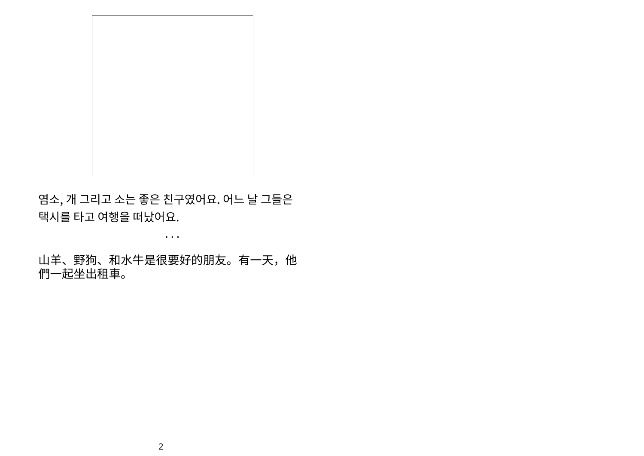

염소, 개 그리고 소는 좋은 친구였어요. 어느 날 그들은 택시를 타고 여행을 떠났어요.

山羊、野狗、和水牛是很要好的朋友。有一天,他 們一起坐出租車。

• • •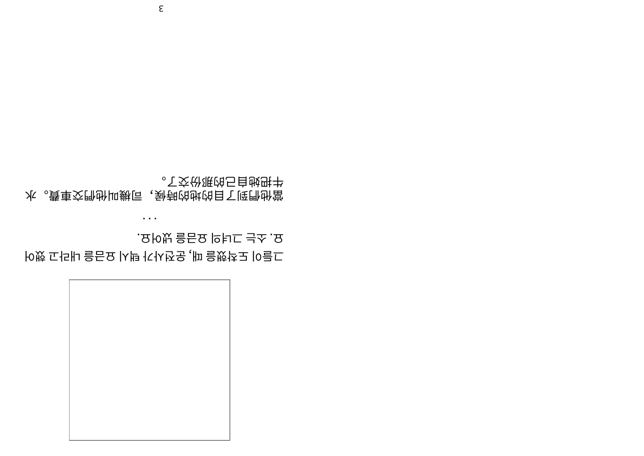

어했 고라내 을금요 시택 가사전운, 때 을했착도 이들그 . 요어냈 을금요 의녀그 는소. 요

• • •

⽔。費⾞交們他叫機司,候時的地的⽬了到們他當 。て交份碾的5自敛野书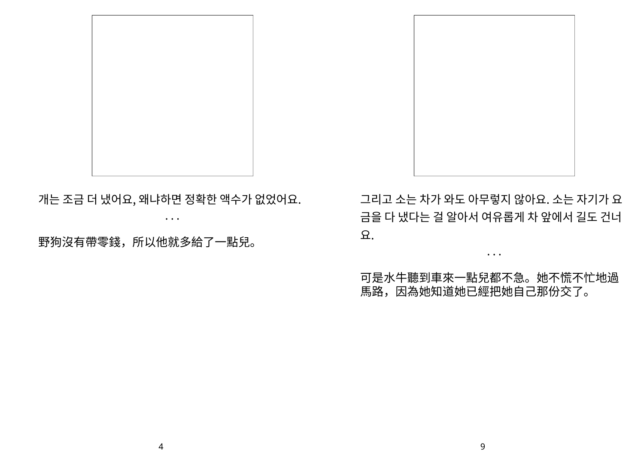

개는 조금 더 냈어요, 왜냐하면 정확한 액수가 없었어요.

• • •

野狗沒有帶零錢,所以他就多給了⼀點兒。

그리고 소는 차가 와도 아무렇지 않아요. 소는 자기가 요 금을 다 냈다는 걸 알아서 여유롭게 차 앞에서 길도 건너 요.

• • •

可是水牛聽到車來一點兒都不急。她不慌不忙地過 馬路,因為她知道她已經把她自己那份交了。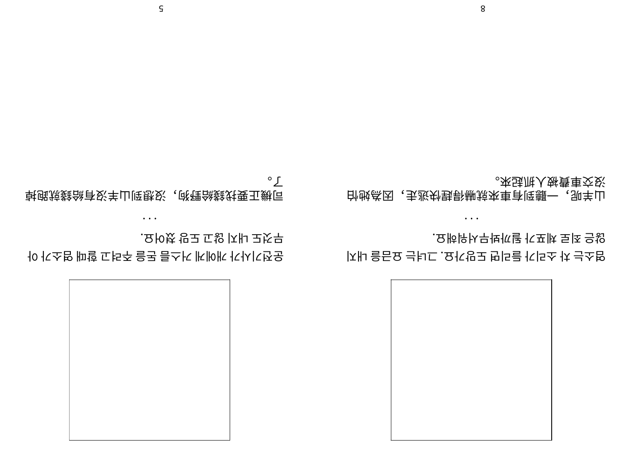

지내 을금요 는녀그. 요가망도 면리들 가리소 차 는소염 . 요해워서무봐까될 가포체 로죄 은않

<u>的</u>她為因,我逃史對影椒旅來車**內**度飄一,即羊山 。來起抓⼈被費⾞交沒

• • •

5

아 가소염 때할 고려주 을돈 름스거 게에개 가사기전운

• • •

掉跑就錢給有沒⽺⼭到想沒,狗野給錢找要正機司

. 요어쳤 망도 고않 지내 도것무

。了

8